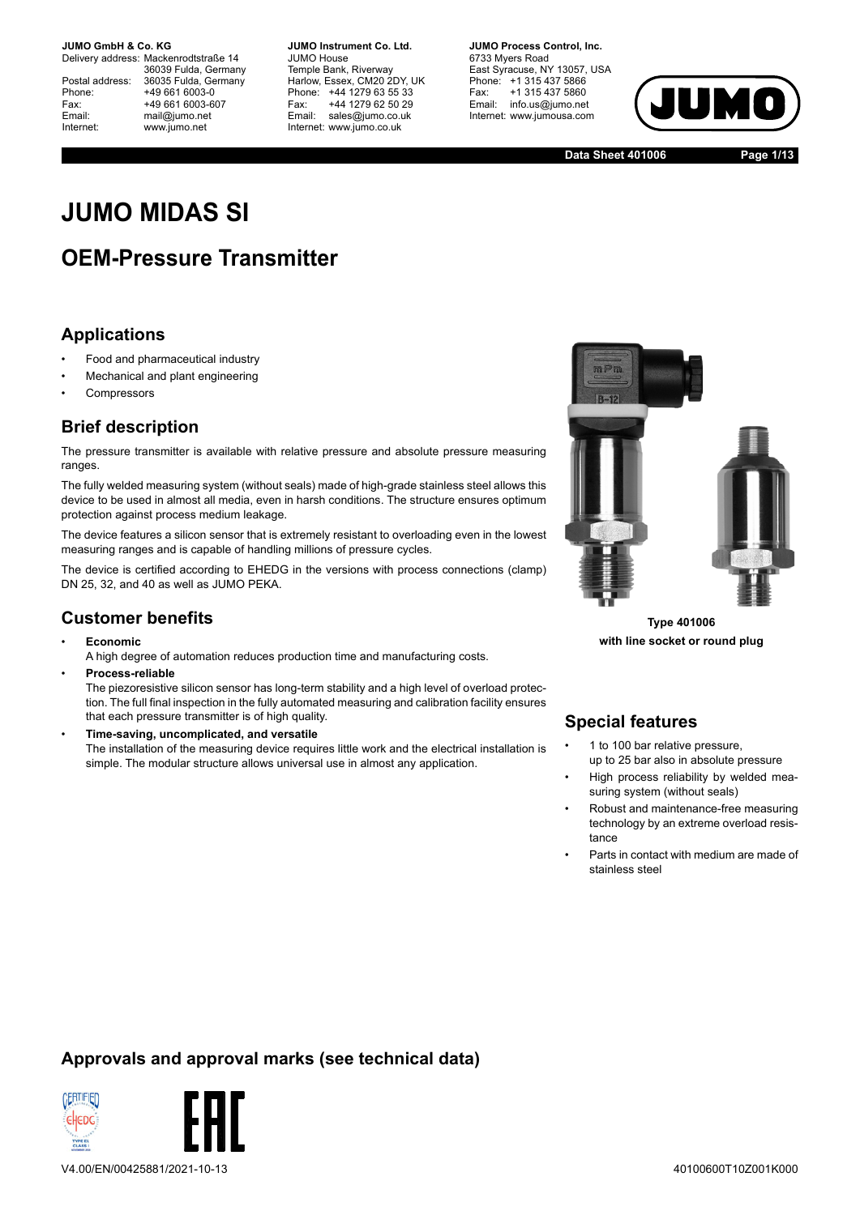Delivery address: Mackenrodtstraße 14 36039 Fulda, Germany Postal address: 36035 Fulda, Germany<br>Phone: +49 661 6003-0 Phone: +49 661 6003-0<br>Fax: +49 661 6003-6 Fax: +49 661 6003-607<br>
Fmail: mail@iumo.net mail@iumo.net Internet: www.jumo.net

**-BUMO Instrument Co. Ltd.** JUMO House Temple Bank, Riverway Harlow, Essex, CM20 2DY, UK Phone: +44 1279 63 55 33<br>Fax: +44 1279 62 50 29 +44 1279 62 50 29 Email: sales@jumo.co.uk Internet: www.jumo.co.uk

**-BURG Process Control Inc.** 6733 Myers Road East Syracuse, NY 13057, USA Phone: +1 315 437 5866<br>Fax: +1 315 437 5860 +1 315 437 5860 Email: info.us@jumo.net Internet: www.jumousa.com



**Data Sheet 401006 Page 1/13**

# **JUMO MIDAS SI**

# **OEM-Pressure Transmitter**

### **Applications**

- Food and pharmaceutical industry
- Mechanical and plant engineering
- **Compressors**

#### **Brief description**

The pressure transmitter is available with relative pressure and absolute pressure measuring ranges.

The fully welded measuring system (without seals) made of high-grade stainless steel allows this device to be used in almost all media, even in harsh conditions. The structure ensures optimum protection against process medium leakage.

The device features a silicon sensor that is extremely resistant to overloading even in the lowest measuring ranges and is capable of handling millions of pressure cycles.

The device is certified according to EHEDG in the versions with process connections (clamp) DN 25, 32, and 40 as well as JUMO PEKA.

### **Customer benefits**

• **Economic**

A high degree of automation reduces production time and manufacturing costs.

• **Process-reliable**

The piezoresistive silicon sensor has long-term stability and a high level of overload protection. The full final inspection in the fully automated measuring and calibration facility ensures that each pressure transmitter is of high quality.

• **Time-saving, uncomplicated, and versatile** The installation of the measuring device requires little work and the electrical installation is simple. The modular structure allows universal use in almost any application.



**Type 401006 with line socket or round plug**

### **Special features**

- 1 to 100 bar relative pressure, up to 25 bar also in absolute pressure
- High process reliability by welded measuring system (without seals)
- Robust and maintenance-free measuring technology by an extreme overload resistance
- Parts in contact with medium are made of stainless steel

### **Approvals and approval marks (see technical data)**

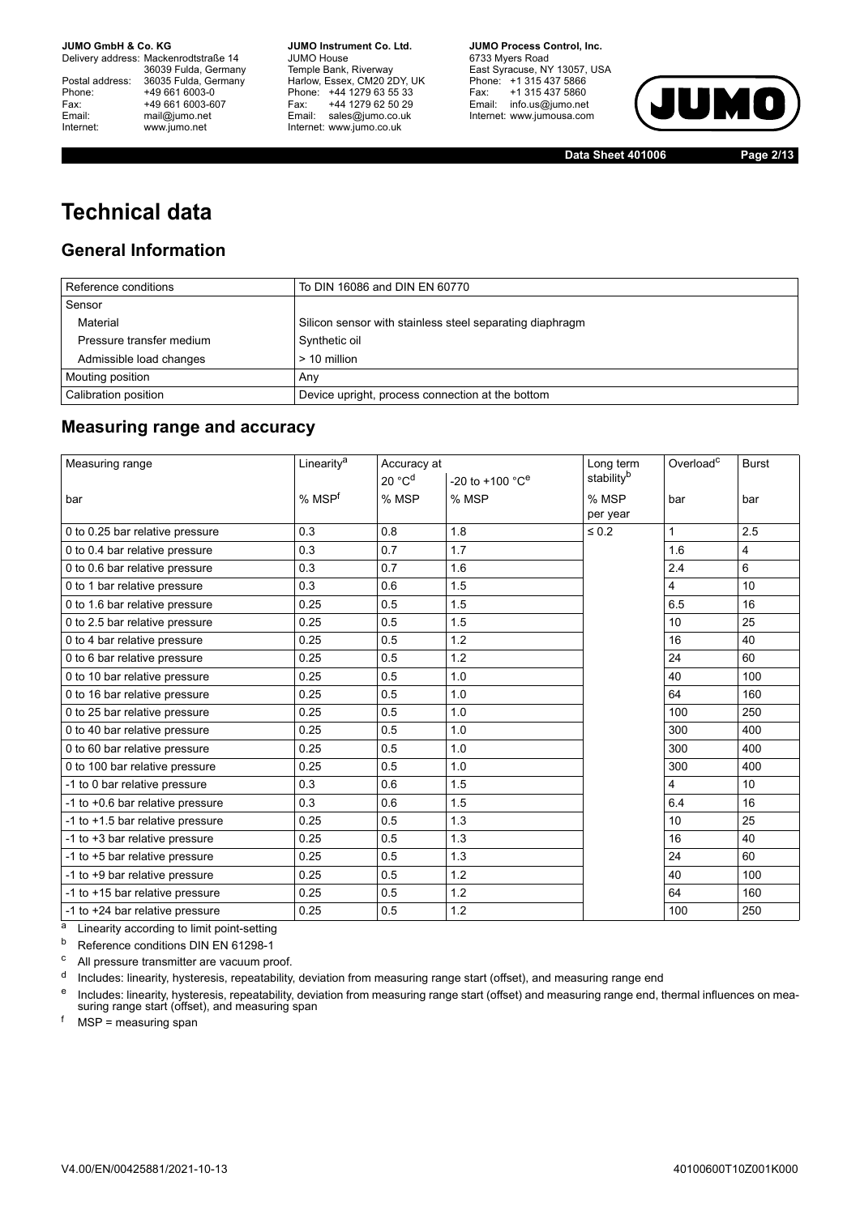Delivery address: Mackenrodtstraße 14 36039 Fulda, Germany<br>Postal address: 36035 Fulda, Germany Phone: +49 661 6003-0<br>
Fax: +49 661 6003-6<br>
Email: mail@jumo.net +49 661 6003-607 mail@jumo.net Internet: www.jumo.net

**JUMO Instrument Co. Ltd.** JUMO House Temple Bank, Riverway<br>Harlow, Essex, CM20 2DY, UK Phone: +44 1279 63 55 33<br>Fax: +44 1279 62 50 29 +44 1279 62 50 29 Email: sales@jumo.co.uk Internet: www.jumo.co.uk

**JUMO Process Control, Inc.** 6733 Myers Road East Syracuse, NY 13057, USA Phone: +1 315 437 5866<br>Fax: +1 315 437 5860 Email: info.us@jumo.net Internet: www.jumousa.com



**Data Sheet 401006 Page 2/13**

# **Technical data**

#### **General Information**

| Reference conditions     | To DIN 16086 and DIN EN 60770                            |
|--------------------------|----------------------------------------------------------|
| Sensor                   |                                                          |
| Material                 | Silicon sensor with stainless steel separating diaphragm |
| Pressure transfer medium | Synthetic oil                                            |
| Admissible load changes  | > 10 million                                             |
| Mouting position         | Anv                                                      |
| Calibration position     | Device upright, process connection at the bottom         |

### **Measuring range and accuracy**

| Measuring range                  | Linearity <sup>a</sup> | Accuracy at        |                                 | Long term              | Overload <sup>c</sup> | <b>Burst</b> |
|----------------------------------|------------------------|--------------------|---------------------------------|------------------------|-----------------------|--------------|
|                                  |                        | 20 °C <sup>d</sup> | $-20$ to $+100$ °C <sup>e</sup> | stability <sup>b</sup> |                       |              |
| bar                              | % MSP <sup>f</sup>     | % MSP              | % MSP                           | % MSP                  | bar                   | bar          |
|                                  |                        |                    |                                 | per year               |                       |              |
| 0 to 0.25 bar relative pressure  | 0.3                    | 0.8                | 1.8                             | $\leq 0.2$             | 1                     | 2.5          |
| 0 to 0.4 bar relative pressure   | 0.3                    | 0.7                | 1.7                             |                        | 1.6                   | 4            |
| 0 to 0.6 bar relative pressure   | 0.3                    | 0.7                | 1.6                             |                        | 2.4                   | 6            |
| 0 to 1 bar relative pressure     | 0.3                    | 0.6                | 1.5                             |                        | 4                     | 10           |
| 0 to 1.6 bar relative pressure   | 0.25                   | 0.5                | 1.5                             |                        | 6.5                   | 16           |
| 0 to 2.5 bar relative pressure   | 0.25                   | 0.5                | 1.5                             |                        | 10 <sup>1</sup>       | 25           |
| 0 to 4 bar relative pressure     | 0.25                   | 0.5                | 1.2                             |                        | 16                    | 40           |
| 0 to 6 bar relative pressure     | 0.25                   | 0.5                | 1.2                             |                        | 24                    | 60           |
| 0 to 10 bar relative pressure    | 0.25                   | 0.5                | 1.0                             |                        | 40                    | 100          |
| 0 to 16 bar relative pressure    | 0.25                   | 0.5                | 1.0                             |                        | 64                    | 160          |
| 0 to 25 bar relative pressure    | 0.25                   | 0.5                | 1.0                             |                        | 100                   | 250          |
| 0 to 40 bar relative pressure    | 0.25                   | 0.5                | 1.0                             |                        | 300                   | 400          |
| 0 to 60 bar relative pressure    | 0.25                   | 0.5                | 1.0                             |                        | 300                   | 400          |
| 0 to 100 bar relative pressure   | 0.25                   | 0.5                | 1.0                             |                        | 300                   | 400          |
| -1 to 0 bar relative pressure    | 0.3                    | 0.6                | 1.5                             |                        | 4                     | 10           |
| -1 to +0.6 bar relative pressure | 0.3                    | 0.6                | 1.5                             |                        | 6.4                   | 16           |
| -1 to +1.5 bar relative pressure | 0.25                   | 0.5                | 1.3                             |                        | 10                    | 25           |
| -1 to +3 bar relative pressure   | 0.25                   | 0.5                | 1.3                             |                        | 16                    | 40           |
| -1 to +5 bar relative pressure   | 0.25                   | 0.5                | 1.3                             |                        | 24                    | 60           |
| -1 to +9 bar relative pressure   | 0.25                   | 0.5                | 1.2                             |                        | 40                    | 100          |
| -1 to +15 bar relative pressure  | 0.25                   | 0.5                | 1.2                             |                        | 64                    | 160          |
| -1 to +24 bar relative pressure  | 0.25                   | 0.5                | 1.2                             |                        | 100                   | 250          |

<sup>a</sup> Linearity according to limit point-setting

**b** Reference conditions DIN EN 61298-1

<sup>c</sup> All pressure transmitter are vacuum proof.

<sup>d</sup> Includes: linearity, hysteresis, repeatability, deviation from measuring range start (offset), and measuring range end

e Includes: linearity, hysteresis, repeatability, deviation from measuring range start (offset) and measuring range end, thermal influences on measuring range start (offset), and measuring span

 $<sup>f</sup>$  MSP = measuring span</sup>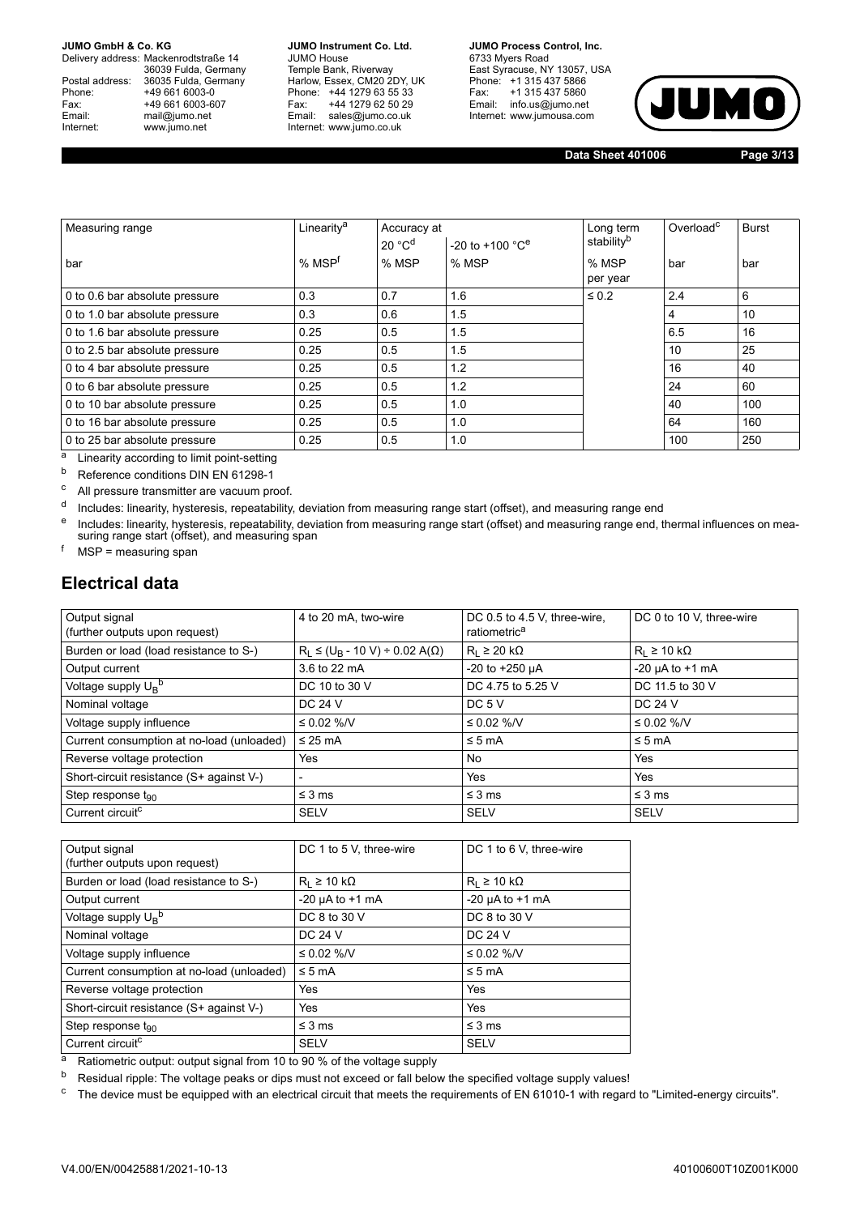Delivery address: Mackenrodtstraße 14 36039 Fulda, Germany Postal address: 36035 Fulda, Germany<br>Phone: +49 661 6003-0 Phone: +49 661 6003-0<br>
Fax: +49 661 6003-6<br>
Email: mail@jumo.net +49 661 6003-607 mail@jumo.net Internet: www.jumo.net

**JUMO Instrument Co. Ltd.** JUMO House Temple Bank, Riverway<br>Harlow, Essex, CM20 2DY, UK Phone: +44 1279 63 55 33<br>Fax: +44 1279 62 50 29 +44 1279 62 50 29 Email: sales@jumo.co.uk Internet: www.jumo.co.uk

**JUMO Process Control, Inc.** 6733 Myers Road East Syracuse, NY 13057, USA Phone: +1 315 437 5866<br>Fax: +1 315 437 5860 Email: info.us@jumo.net Internet: www.jumousa.com



**Data Sheet 401006 Page 3/13**

| Measuring range                | Linearity <sup>a</sup> | Accuracy at        |                                 | Long term  | Overload <sup>c</sup> | <b>Burst</b> |
|--------------------------------|------------------------|--------------------|---------------------------------|------------|-----------------------|--------------|
|                                |                        | 20 °C <sup>d</sup> | $-20$ to $+100$ °C <sup>e</sup> | stabilityb |                       |              |
| bar                            | % MSP <sup>f</sup>     | % MSP              | % MSP                           | % MSP      | bar                   | bar          |
|                                |                        |                    |                                 | per year   |                       |              |
| 0 to 0.6 bar absolute pressure | 0.3                    | 0.7                | 1.6                             | $\leq 0.2$ | 2.4                   | 6            |
| 0 to 1.0 bar absolute pressure | 0.3                    | 0.6                | 1.5                             |            | 4                     | 10           |
| 0 to 1.6 bar absolute pressure | 0.25                   | 0.5                | 1.5                             |            | 6.5                   | 16           |
| 0 to 2.5 bar absolute pressure | 0.25                   | 0.5                | 1.5                             |            | 10                    | 25           |
| 0 to 4 bar absolute pressure   | 0.25                   | 0.5                | 1.2                             |            | 16                    | 40           |
| 0 to 6 bar absolute pressure   | 0.25                   | 0.5                | 1.2                             |            | 24                    | 60           |
| 0 to 10 bar absolute pressure  | 0.25                   | 0.5                | 1.0                             |            | 40                    | 100          |
| 0 to 16 bar absolute pressure  | 0.25                   | 0.5                | 1.0                             |            | 64                    | 160          |
| 0 to 25 bar absolute pressure  | 0.25                   | 0.5                | 1.0                             |            | 100                   | 250          |

 $\frac{a}{a}$  Linearity according to limit point-setting

Reference conditions DIN EN 61298-1

<sup>c</sup> All pressure transmitter are vacuum proof.

d Includes: linearity, hysteresis, repeatability, deviation from measuring range start (offset), and measuring range end

e Includes: linearity, hysteresis, repeatability, deviation from measuring range start (offset) and measuring range end, thermal influences on measuring range start (offset), and measuring span

 $<sup>f</sup>$  MSP = measuring span</sup>

#### **Electrical data**

| Output signal<br>(further outputs upon request) | 4 to 20 mA, two-wire                        | DC 0.5 to 4.5 V, three-wire,<br>ratiometric <sup>a</sup> | DC 0 to 10 V, three-wire  |
|-------------------------------------------------|---------------------------------------------|----------------------------------------------------------|---------------------------|
| Burden or load (load resistance to S-)          | $R_1 \leq (U_R - 10 V) \div 0.02 A(\Omega)$ | $R_1 \geq 20 k\Omega$                                    | $R_1 \ge 10 k\Omega$      |
| Output current                                  | 3.6 to 22 mA                                | $-20$ to $+250$ µA                                       | $-20 \mu A$ to $+1 \mu A$ |
| Voltage supply U <sub>B</sub> <sup>b</sup>      | DC 10 to 30 V                               | DC 4.75 to 5.25 V                                        | DC 11.5 to 30 V           |
| Nominal voltage                                 | DC 24 V                                     | DC 5 V                                                   | DC 24 V                   |
| Voltage supply influence                        | $\leq 0.02$ %/V                             | ≤ 0.02 %/V                                               | $\leq 0.02$ %/V           |
| Current consumption at no-load (unloaded)       | $\leq$ 25 mA                                | $\leq 5$ mA                                              | $\leq 5$ mA               |
| Reverse voltage protection                      | Yes                                         | No                                                       | Yes                       |
| Short-circuit resistance (S+ against V-)        | $\overline{\phantom{a}}$                    | Yes                                                      | Yes                       |
| Step response $t_{90}$                          | $\leq$ 3 ms                                 | $\leq$ 3 ms                                              | $\leq$ 3 ms               |
| Current circuit <sup>c</sup>                    | <b>SELV</b>                                 | <b>SELV</b>                                              | <b>SELV</b>               |

| Output signal                              | DC 1 to 5 V, three-wire   | DC 1 to 6 V, three-wire   |
|--------------------------------------------|---------------------------|---------------------------|
| (further outputs upon request)             |                           |                           |
| Burden or load (load resistance to S-)     | $R_1 \ge 10 k\Omega$      | $R_1 \geq 10 k\Omega$     |
| Output current                             | $-20 \mu A$ to $+1 \mu A$ | $-20 \mu A$ to $+1 \mu A$ |
| Voltage supply U <sub>B</sub> <sup>b</sup> | DC 8 to 30 V              | DC 8 to 30 V              |
| Nominal voltage                            | DC 24 V                   | DC 24 V                   |
| Voltage supply influence                   | ≤ 0.02 %/V                | ≤ 0.02 %/V                |
| Current consumption at no-load (unloaded)  | $\leq$ 5 mA               | $\leq 5$ mA               |
| Reverse voltage protection                 | Yes                       | Yes                       |
| Short-circuit resistance (S+ against V-)   | Yes                       | Yes                       |
| Step response $t_{90}$                     | $\leq$ 3 ms               | $\leq$ 3 ms               |
| Current circuit <sup>c</sup>               | <b>SELV</b>               | <b>SELV</b>               |

a Ratiometric output: output signal from 10 to 90 % of the voltage supply

<sup>b</sup> Residual ripple: The voltage peaks or dips must not exceed or fall below the specified voltage supply values!

<sup>c</sup> The device must be equipped with an electrical circuit that meets the requirements of EN 61010-1 with regard to "Limited-energy circuits".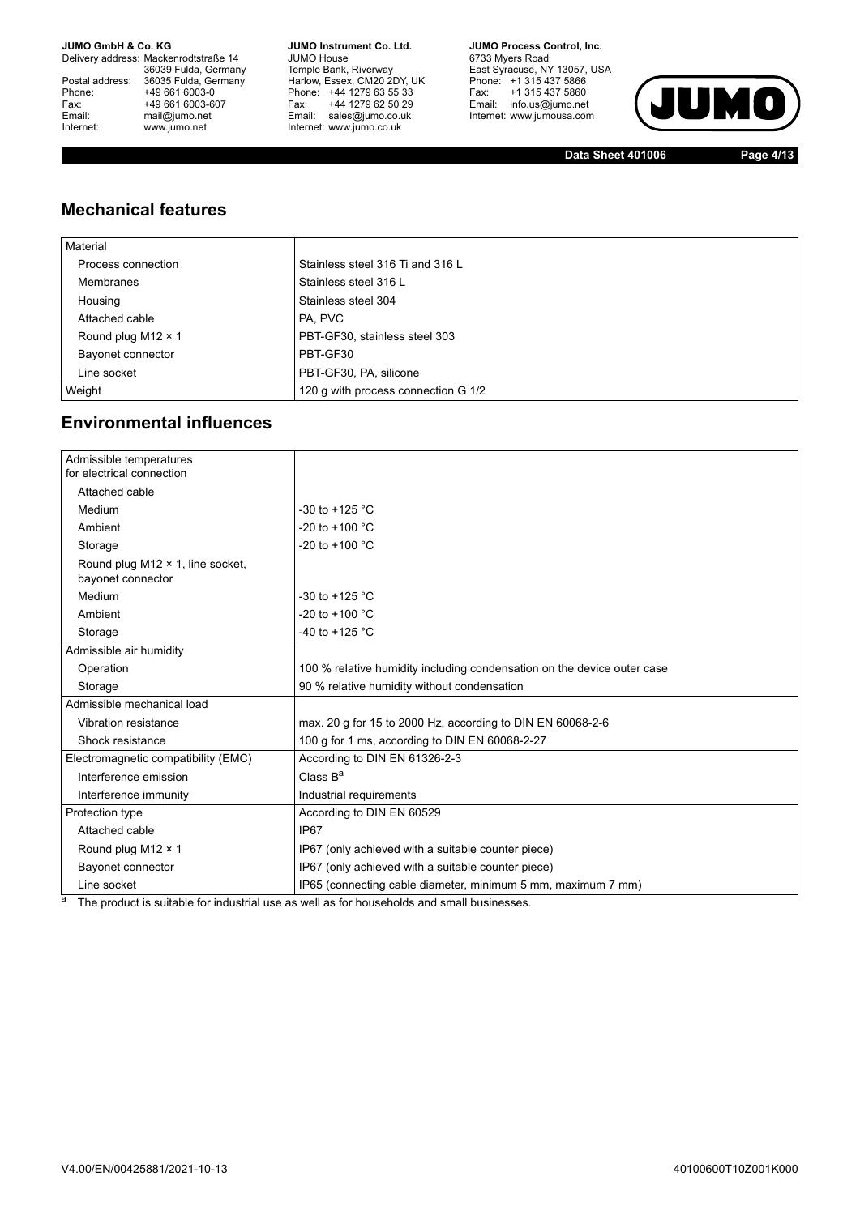Delivery address: Mackenrodtstraße 14 36039 Fulda, Germany<br>Postal address: 36035 Fulda, Germany Phone: +49 661 6003-0<br>
Fax: +49 661 6003-6<br>
Email: mail@jumo.net +49 661 6003-607 Email: mail@jumo.net<br>Internet: www.iumo.net www.jumo.net

**JUMO Instrument Co. Ltd.** JUMO House Temple Bank, Riverway<br>Harlow, Essex, CM20 2DY, UK Phone: +44 1279 63 55 33 Fax: +44 1279 62 50 29<br>Email: sales@jumo.co.uk Internet: www.jumo.co.uk

**JUMO Process Control, Inc.** 6733 Myers Road East Syracuse, NY 13057, USA<br>Phone: +1 315 437 5866<br>Fax: +1 315 437 5860 Email: info.us@jumo.net Internet: www.jumousa.com



**Data Sheet 401006 Page 4/13**

### **Mechanical features**

| Material                  |                                     |
|---------------------------|-------------------------------------|
| Process connection        | Stainless steel 316 Ti and 316 L    |
| Membranes                 | Stainless steel 316 L               |
| Housing                   | Stainless steel 304                 |
| Attached cable            | PA, PVC                             |
| Round plug M12 $\times$ 1 | PBT-GF30, stainless steel 303       |
| Bayonet connector         | PBT-GF30                            |
| Line socket               | PBT-GF30, PA, silicone              |
| Weight                    | 120 g with process connection G 1/2 |

#### **Environmental influences**

| Admissible temperatures<br>for electrical connection  |                                                                         |
|-------------------------------------------------------|-------------------------------------------------------------------------|
| Attached cable                                        |                                                                         |
| Medium                                                | -30 to +125 $^{\circ}$ C                                                |
| Ambient                                               | -20 to +100 $^{\circ}$ C                                                |
| Storage                                               | -20 to +100 $^{\circ}$ C                                                |
| Round plug M12 × 1, line socket,<br>bayonet connector |                                                                         |
| Medium                                                | -30 to +125 $^{\circ}$ C                                                |
| Ambient                                               | -20 to +100 $^{\circ}$ C                                                |
| Storage                                               | -40 to +125 $^{\circ}$ C                                                |
| Admissible air humidity                               |                                                                         |
| Operation                                             | 100 % relative humidity including condensation on the device outer case |
| Storage                                               | 90 % relative humidity without condensation                             |
| Admissible mechanical load                            |                                                                         |
| <b>Vibration resistance</b>                           | max. 20 g for 15 to 2000 Hz, according to DIN EN 60068-2-6              |
| Shock resistance                                      | 100 g for 1 ms, according to DIN EN 60068-2-27                          |
| Electromagnetic compatibility (EMC)                   | According to DIN EN 61326-2-3                                           |
| Interference emission                                 | Class B <sup>a</sup>                                                    |
| Interference immunity                                 | Industrial requirements                                                 |
| Protection type                                       | According to DIN EN 60529                                               |
| Attached cable                                        | IP67                                                                    |
| Round plug M12 × 1                                    | IP67 (only achieved with a suitable counter piece)                      |
| Bayonet connector                                     | IP67 (only achieved with a suitable counter piece)                      |
| Line socket                                           | IP65 (connecting cable diameter, minimum 5 mm, maximum 7 mm)            |

<sup>a</sup> The product is suitable for industrial use as well as for households and small businesses.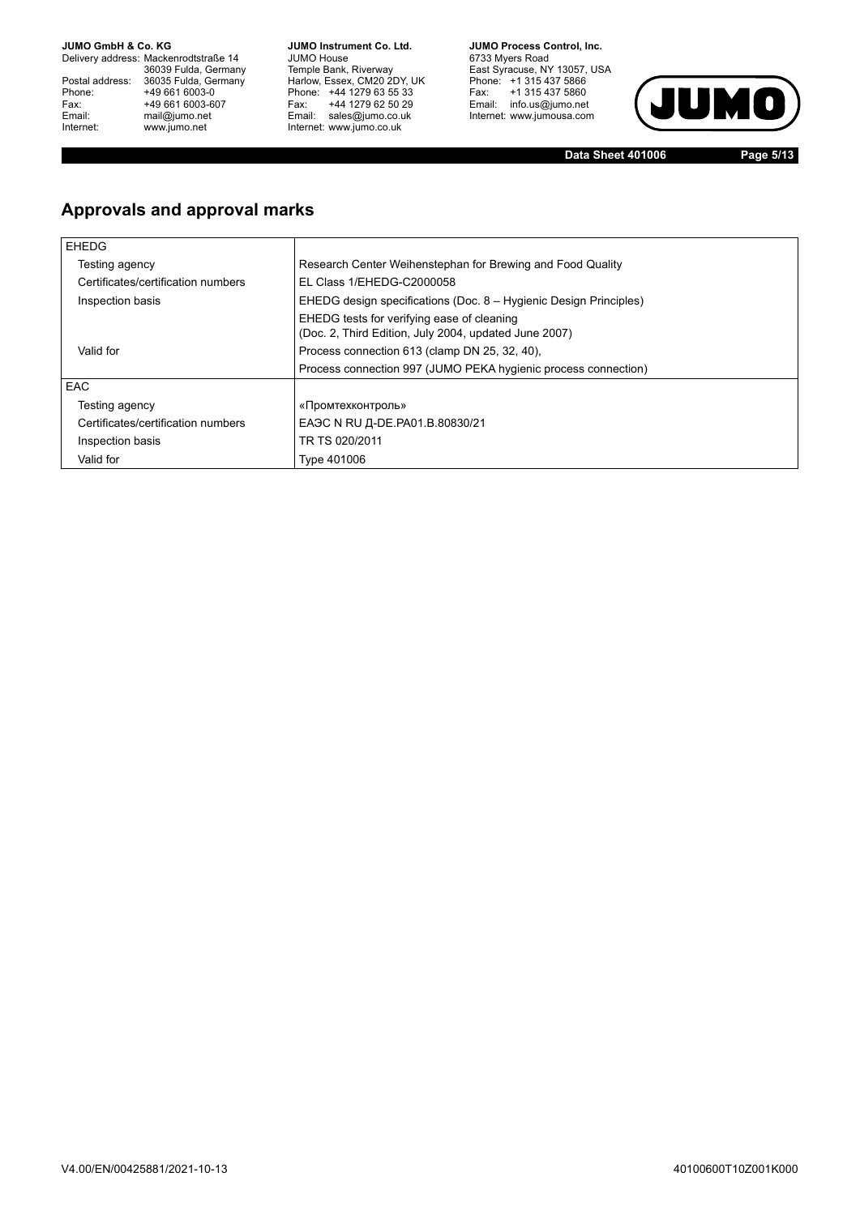Delivery address: Mackenrodtstraße 14 36039 Fulda, Germany<br>Postal address: 36035 Fulda, Germany Phone: +49 661 6003-0<br>
Fax: +49 661 6003-6<br>
Email: mail@jumo.net +49 661 6003-607 Email: mail@jumo.net<br>Internet: www.iumo.net www.jumo.net

**JUMO Instrument Co. Ltd.** JUMO House Temple Bank, Riverway<br>Harlow, Essex, CM20 2DY, UK Phone: +44 1279 63 55 33 Fax: +44 1279 62 50 29<br>Email: sales@jumo.co.uk Internet: www.jumo.co.uk

**JUMO Process Control. Inc.** 6733 Myers Road East Syracuse, NY 13057, USA<br>Phone: +1 315 437 5866<br>Fax: +1 315 437 5860 Email: info.us@jumo.net Internet: www.jumousa.com



**Data Sheet 401006 Page 5/13**

### **Approvals and approval marks**

| <b>EHEDG</b>                       |                                                                                                     |
|------------------------------------|-----------------------------------------------------------------------------------------------------|
| Testing agency                     | Research Center Weihenstephan for Brewing and Food Quality                                          |
| Certificates/certification numbers | EL Class 1/EHEDG-C2000058                                                                           |
| Inspection basis                   | EHEDG design specifications (Doc. 8 – Hygienic Design Principles)                                   |
|                                    | EHEDG tests for verifying ease of cleaning<br>(Doc. 2, Third Edition, July 2004, updated June 2007) |
| Valid for                          | Process connection 613 (clamp DN 25, 32, 40).                                                       |
|                                    | Process connection 997 (JUMO PEKA hygienic process connection)                                      |
| <b>EAC</b>                         |                                                                                                     |
| Testing agency                     | «Промтехконтроль»                                                                                   |
| Certificates/certification numbers | EAЭC N RU Д-DE.PA01.B.80830/21                                                                      |
| Inspection basis                   | TR TS 020/2011                                                                                      |
| Valid for                          | Type 401006                                                                                         |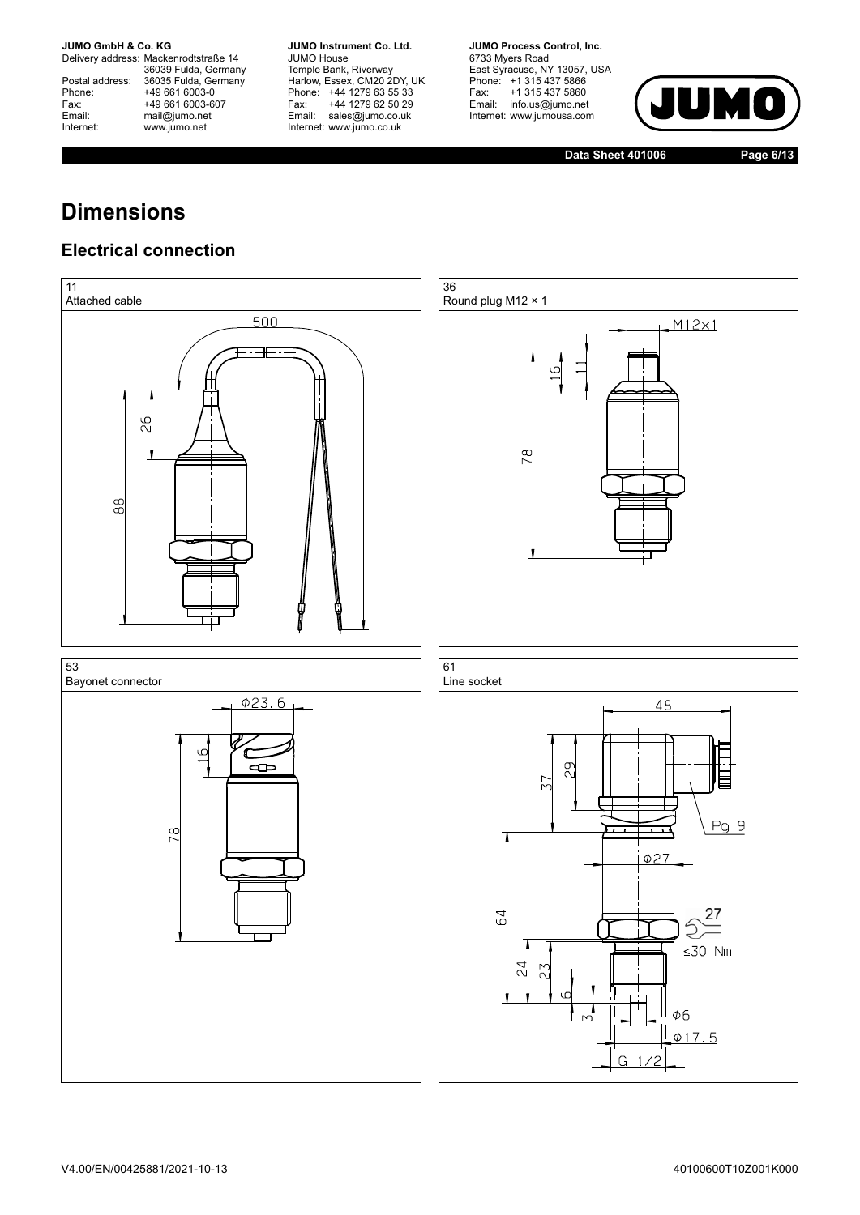Delivery address: Mackenrodtstraße 14 36039 Fulda, Germany<br>Postal address: 36035 Fulda, Germany Phone: +49 661 6003-0<br>
Fax: +49 661 6003-6<br>
Email: mail@jumo.net +49 661 6003-607 Email: mail@jumo.net<br>Internet: www.iumo.net www.jumo.net

**JUMO Instrument Co. Ltd.** JUMO House Temple Bank, Riverway<br>Harlow, Essex, CM20 2DY, UK Phone: +44 1279 63 55 33<br>Fax: +44 1279 62 50 29 +44 1279 62 50 29 Email: sales@jumo.co.uk Internet: www.jumo.co.uk

**JUMO Process Control, Inc.** 6733 Myers Road East Syracuse, NY 13057, USA<br>Phone: +1 315 437 5866<br>Fax: +1 315 437 5860 Email: info.us@jumo.net Internet: www.jumousa.com



**Data Sheet 401006 Page 6/13**

# **Dimensions**

#### **Electrical connection**

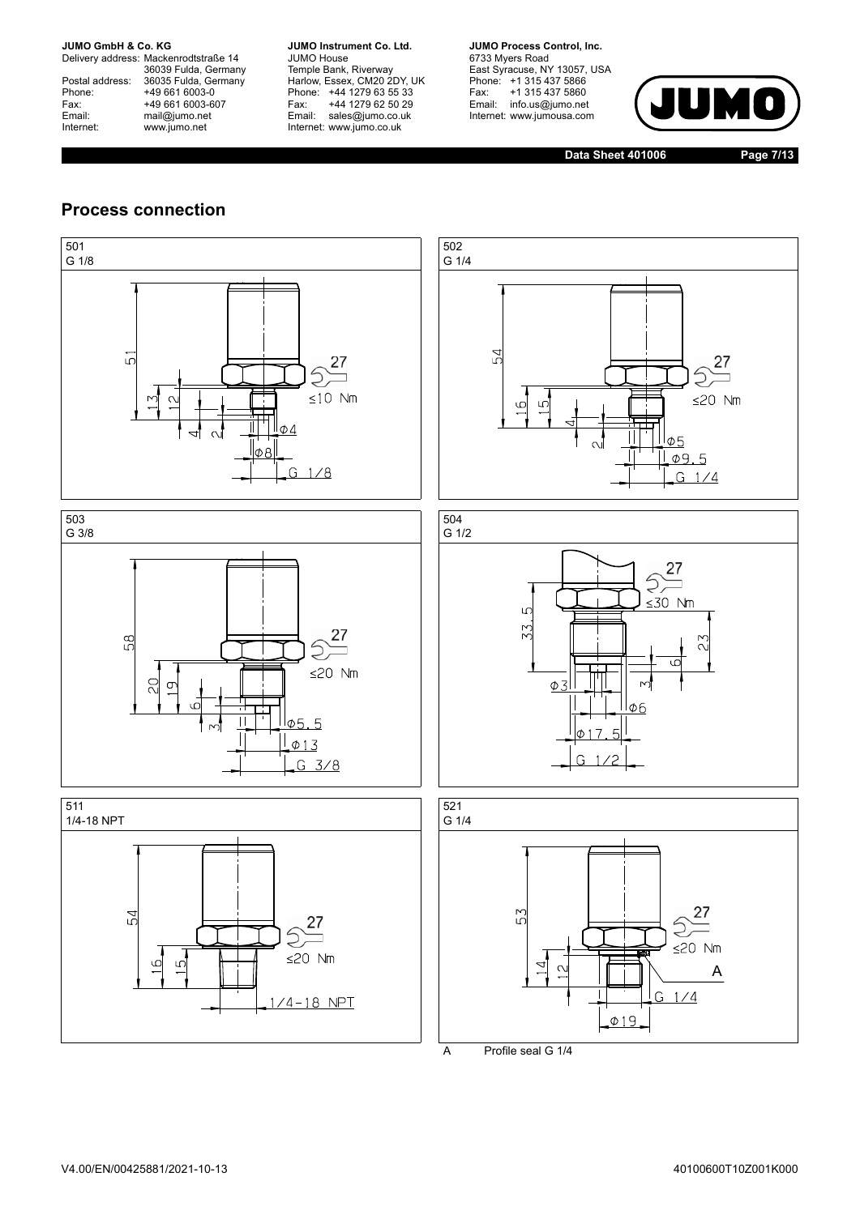Delivery address: Mackenrodtstraße 14 36039 Fulda, Germany<br>Postal address: 36035 Fulda, Germany Phone: +49 661 6003-0<br>
Fax: +49 661 6003-6<br>
Email: mail@jumo.net +49 661 6003-607 Email: mail@jumo.net<br>Internet: www.iumo.net www.jumo.net

**JUMO Instrument Co. Ltd.** JUMO House Temple Bank, Riverway<br>Harlow, Essex, CM20 2DY, UK Phone: +44 1279 63 55 33<br>Fax: +44 1279 62 50 29 +44 1279 62 50 29 Email: sales@jumo.co.uk Internet: www.jumo.co.uk

**JUMO Process Control, Inc.** 6733 Myers Road East Syracuse, NY 13057, USA<br>Phone: +1 315 437 5866<br>Fax: +1 315 437 5860 Email: info.us@jumo.net Internet: www.jumousa.com



**Data Sheet 401006 Page 7/13**

#### **Process connection**



A Profile seal G 1/4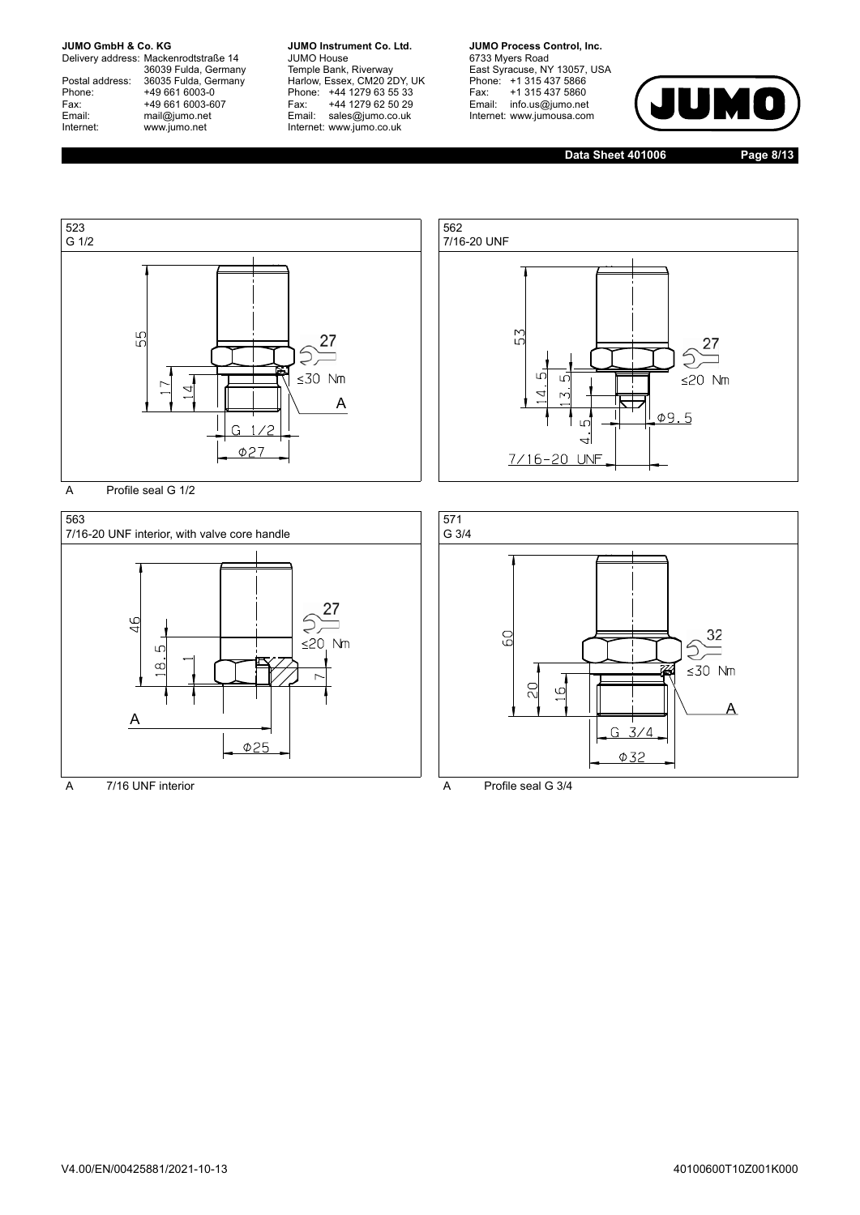Delivery address: Mackenrodtstraße 14 36039 Fulda, Germany<br>Postal address: 36035 Fulda, Germany Phone: +49 661 6003-0<br>
Fax: +49 661 6003-6<br>
Email: mail@jumo.net +49 661 6003-607 Email: mail@jumo.net<br>Internet: www.iumo.net www.jumo.net

**JUMO Instrument Co. Ltd.** JUMO House Temple Bank, Riverway<br>Harlow, Essex, CM20 2DY, UK Phone: +44 1279 63 55 33<br>Fax: +44 1279 62 50 29 +44 1279 62 50 29 Email: sales@jumo.co.uk Internet: www.jumo.co.uk

**JUMO Process Control, Inc.** 6733 Myers Road East Syracuse, NY 13057, USA<br>Phone: +1 315 437 5866<br>Fax: +1 315 437 5860 Email: info.us@jumo.net Internet: www.jumousa.com



**Data Sheet 401006 Page 8/13**



A Profile seal G 1/2





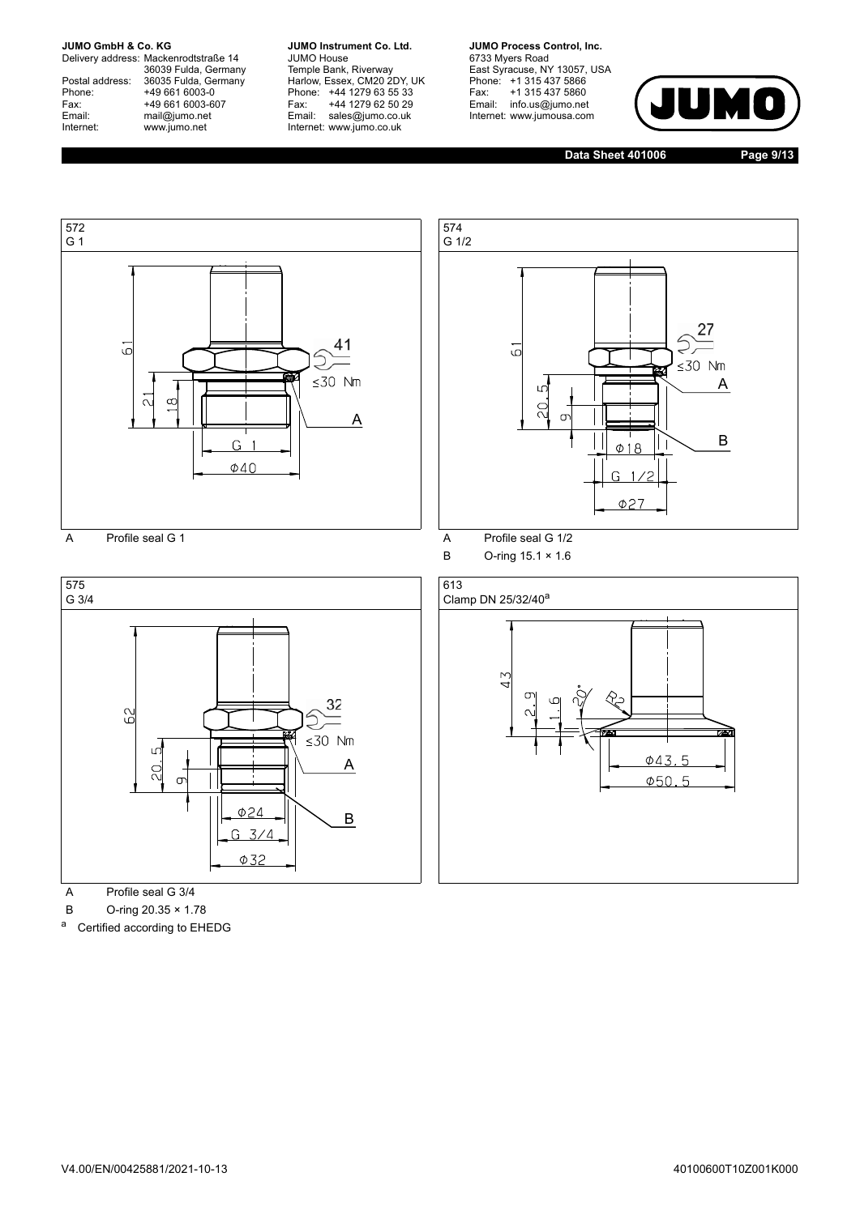Delivery address: Mackenrodtstraße 14 36039 Fulda, Germany<br>Postal address: 36035 Fulda, Germany Phone: +49 661 6003-0<br>
Fax: +49 661 6003-6<br>
Email: mail@jumo.net +49 661 6003-607 Email: mail@jumo.net<br>Internet: www.iumo.net www.jumo.net

**JUMO Instrument Co. Ltd.** JUMO House Temple Bank, Riverway<br>Harlow, Essex, CM20 2DY, UK Phone: +44 1279 63 55 33<br>Fax: +44 1279 62 50 29 +44 1279 62 50 29 Email: sales@jumo.co.uk Internet: www.jumo.co.uk

**JUMO Process Control, Inc.** 6733 Myers Road East Syracuse, NY 13057, USA<br>Phone: +1 315 437 5866<br>Fax: +1 315 437 5860 Email: info.us@jumo.net Internet: www.jumousa.com



**Data Sheet 401006 Page 9/13**





A Profile seal G 3/4

B O-ring 20.35 × 1.78

a Certified according to EHEDG



B O-ring 15.1 × 1.6

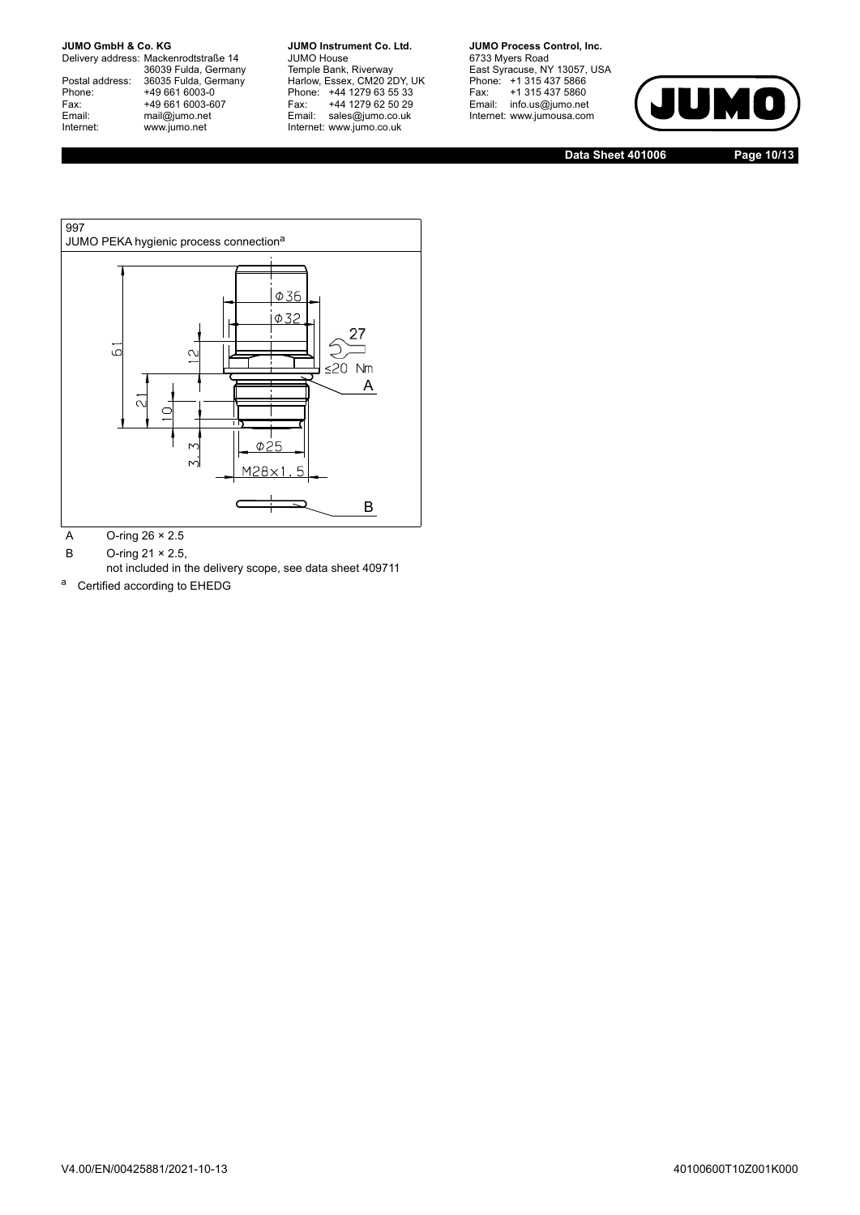Delivery address: Mackenrodtstraße 14 36039 Fulda, Germany<br>Postal address: 36035 Fulda, Germany Phone: +49 661 6003-0<br>
Fax: +49 661 6003-6<br>
Email: mail@jumo.net +49 661 6003-607 Email: mail@jumo.net<br>Internet: www.iumo.net www.jumo.net

**JUMO Instrument Co. Ltd.** JUMO House Temple Bank, Riverway<br>Harlow, Essex, CM20 2DY, UK Phone: +44 1279 63 55 33<br>Fax: +44 1279 62 50 29 +44 1279 62 50 29 Email: sales@jumo.co.uk Internet: www.jumo.co.uk

**JUMO Process Control, Inc.** 6733 Myers Road East Syracuse, NY 13057, USA<br>Phone: +1 315 437 5866<br>Fax: +1 315 437 5860 Email: info.us@jumo.net Internet: www.jumousa.com



**Data Sheet 401006 Page 10/13**



A O-ring 26 × 2.5

B O-ring 21 × 2.5,

not included in the delivery scope, see data sheet 409711

a Certified according to EHEDG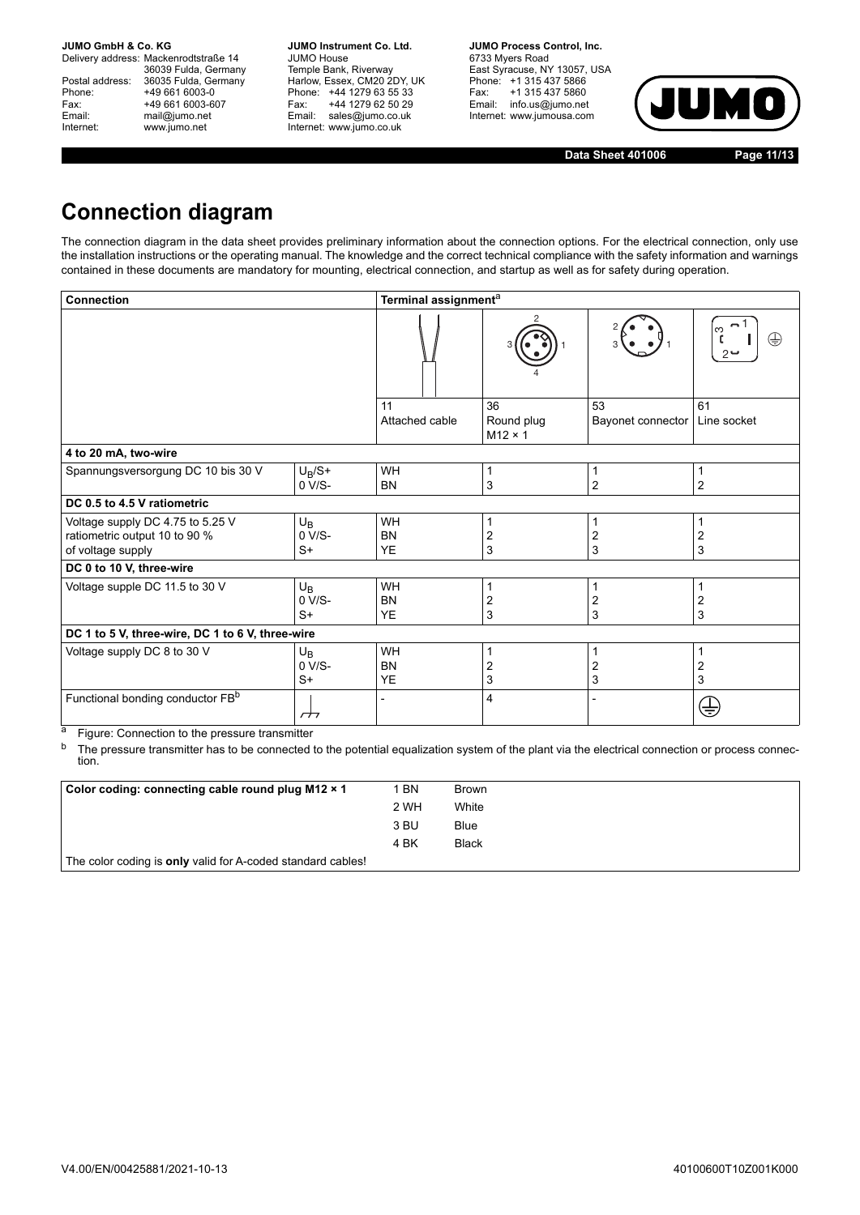Delivery address: Mackenrodtstraße 14 36039 Fulda, Germany Postal address: 36035 Fulda, Germany<br>Phone: +49 661 6003-0 Phone: +49 661 6003-0<br>
Fax: +49 661 6003-6<br>
Email: mail@jumo.net +49 661 6003-607 mail@jumo.net Internet: www.jumo.net

**JUMO Instrument Co. Ltd.** JUMO House Temple Bank, Riverway<br>Harlow, Essex, CM20 2DY, UK Phone: +44 1279 63 55 33<br>Fax: +44 1279 62 50 29 +44 1279 62 50 29 Email: sales@jumo.co.uk Internet: www.jumo.co.uk

**JUMO Process Control, Inc.** 6733 Myers Road East Syracuse, NY 13057, USA Phone: +1 315 437 5866<br>Fax: +1 315 437 5860 rax. Tribitary 5000 Internet: www.jumousa.com



**Data Sheet 401006 Page 11/13**

## **Connection diagram**

The connection diagram in the data sheet provides preliminary information about the connection options. For the electrical connection, only use the installation instructions or the operating manual. The knowledge and the correct technical compliance with the safety information and warnings contained in these documents are mandatory for mounting, electrical connection, and startup as well as for safety during operation.

| <b>Connection</b>                                                                      |                               | Terminal assignment <sup>a</sup>    |                                    |                         |                     |  |
|----------------------------------------------------------------------------------------|-------------------------------|-------------------------------------|------------------------------------|-------------------------|---------------------|--|
|                                                                                        |                               |                                     |                                    |                         | ო<br>⊕              |  |
|                                                                                        |                               | 11<br>Attached cable                | 36<br>Round plug<br>$M12 \times 1$ | 53<br>Bayonet connector | 61<br>Line socket   |  |
| 4 to 20 mA, two-wire                                                                   |                               |                                     |                                    |                         |                     |  |
| Spannungsversorgung DC 10 bis 30 V                                                     | $U_R/S+$<br>$0 V/S-$          | WH<br><b>BN</b>                     | 3                                  | $\boldsymbol{2}$        | 2                   |  |
| DC 0.5 to 4.5 V ratiometric                                                            |                               |                                     |                                    |                         |                     |  |
| Voltage supply DC 4.75 to 5.25 V<br>ratiometric output 10 to 90 %<br>of voltage supply | $U_B$<br>0 V/S-<br>$S+$       | WH<br><b>BN</b><br><b>YE</b>        | 2<br>3                             | 2<br>3                  | 1<br>2<br>3         |  |
| DC 0 to 10 V, three-wire                                                               |                               |                                     |                                    |                         |                     |  |
| Voltage supple DC 11.5 to 30 V                                                         | $U_{\rm B}$<br>0 V/S-<br>$S+$ | <b>WH</b><br><b>BN</b><br><b>YE</b> | 2<br>3                             | $\overline{c}$<br>3     | $\overline{c}$<br>3 |  |
| DC 1 to 5 V, three-wire, DC 1 to 6 V, three-wire                                       |                               |                                     |                                    |                         |                     |  |
| Voltage supply DC 8 to 30 V                                                            | $U_B$<br>0 V/S-<br>$S+$       | WH<br><b>BN</b><br><b>YE</b>        | 2<br>3                             | $\overline{2}$<br>3     | $\overline{c}$<br>3 |  |
| Functional bonding conductor FB <sup>b</sup>                                           | $\overline{\phantom{a}}$      |                                     | 4                                  |                         | €                   |  |

<sup>a</sup> Figure: Connection to the pressure transmitter

<sup>b</sup> The pressure transmitter has to be connected to the potential equalization system of the plant via the electrical connection or process connection.

| Color coding: connecting cable round plug M12 × 1                  | 1 BN | <b>Brown</b> |
|--------------------------------------------------------------------|------|--------------|
|                                                                    | 2 WH | White        |
|                                                                    | 3 BU | <b>Blue</b>  |
|                                                                    | 4 BK | <b>Black</b> |
| The color coding is <b>only</b> valid for A-coded standard cables! |      |              |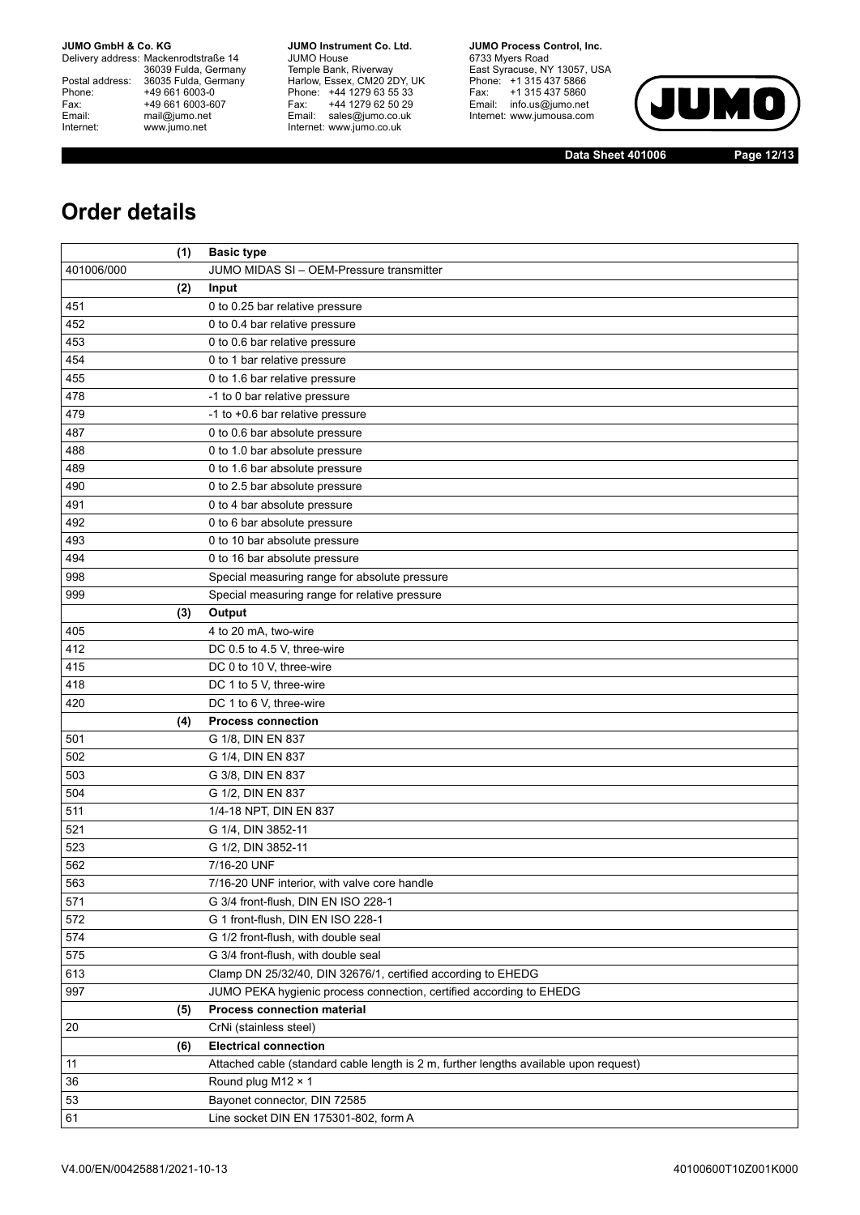Delivery address: Mackenrodtstraße 14 36039 Fulda, Germany<br>Postal address: 36035 Fulda, Germany Phone: +49 661 6003-0<br>
Fax: +49 661 6003-6<br>
Email: mail@jumo.net +49 661 6003-607 Email: mail@jumo.net<br>Internet: www.iumo.net www.jumo.net

**JUMO Instrument Co. Ltd.** JUMO House Temple Bank, Riverway<br>Harlow, Essex, CM20 2DY, UK<br>Phone: +44 1279 63 55 33 Fax: +44 1279 62 50 29<br>Email: sales@jumo.co.uk Internet: www.jumo.co.uk

**JUMO Process Control. Inc.** 6733 Myers Road East Syracuse, NY 13057, USA<br>Phone: +1 315 437 5866<br>Fax: +1 315 437 5860 Email: info.us@jumo.net Internet: www.jumousa.com



**Data Sheet 401006 Page 12/13**

## **Order details**

|            | (1) | <b>Basic type</b>                                                                     |
|------------|-----|---------------------------------------------------------------------------------------|
| 401006/000 |     | JUMO MIDAS SI - OEM-Pressure transmitter                                              |
|            | (2) | Input                                                                                 |
| 451        |     | 0 to 0.25 bar relative pressure                                                       |
| 452        |     | 0 to 0.4 bar relative pressure                                                        |
| 453        |     | 0 to 0.6 bar relative pressure                                                        |
| 454        |     | 0 to 1 bar relative pressure                                                          |
| 455        |     | 0 to 1.6 bar relative pressure                                                        |
| 478        |     | -1 to 0 bar relative pressure                                                         |
| 479        |     | -1 to +0.6 bar relative pressure                                                      |
| 487        |     | 0 to 0.6 bar absolute pressure                                                        |
| 488        |     | 0 to 1.0 bar absolute pressure                                                        |
| 489        |     | 0 to 1.6 bar absolute pressure                                                        |
| 490        |     | 0 to 2.5 bar absolute pressure                                                        |
| 491        |     | 0 to 4 bar absolute pressure                                                          |
| 492        |     | 0 to 6 bar absolute pressure                                                          |
| 493        |     | 0 to 10 bar absolute pressure                                                         |
| 494        |     | 0 to 16 bar absolute pressure                                                         |
| 998        |     | Special measuring range for absolute pressure                                         |
| 999        |     | Special measuring range for relative pressure                                         |
|            | (3) | Output                                                                                |
| 405        |     | 4 to 20 mA, two-wire                                                                  |
| 412        |     | DC 0.5 to 4.5 V, three-wire                                                           |
| 415        |     | DC 0 to 10 V, three-wire                                                              |
| 418        |     | DC 1 to 5 V, three-wire                                                               |
| 420        |     | DC 1 to 6 V, three-wire                                                               |
|            | (4) | <b>Process connection</b>                                                             |
| 501        |     | G 1/8, DIN EN 837                                                                     |
| 502        |     | G 1/4, DIN EN 837                                                                     |
| 503        |     | G 3/8, DIN EN 837                                                                     |
| 504        |     | G 1/2, DIN EN 837                                                                     |
| 511        |     | 1/4-18 NPT, DIN EN 837                                                                |
| 521        |     | G 1/4, DIN 3852-11                                                                    |
| 523        |     | G 1/2, DIN 3852-11                                                                    |
| 562        |     | 7/16-20 UNF                                                                           |
| 563        |     | 7/16-20 UNF interior, with valve core handle                                          |
| 571        |     | G 3/4 front-flush, DIN EN ISO 228-1                                                   |
| 572        |     | G 1 front-flush, DIN EN ISO 228-1                                                     |
| 574        |     | G 1/2 front-flush, with double seal                                                   |
| 575        |     | G 3/4 front-flush, with double seal                                                   |
| 613        |     | Clamp DN 25/32/40, DIN 32676/1, certified according to EHEDG                          |
| 997        |     | JUMO PEKA hygienic process connection, certified according to EHEDG                   |
|            | (5) | Process connection material                                                           |
| 20         |     | CrNi (stainless steel)                                                                |
|            | (6) | <b>Electrical connection</b>                                                          |
| 11         |     | Attached cable (standard cable length is 2 m, further lengths available upon request) |
| 36         |     | Round plug M12 × 1                                                                    |
| 53         |     | Bayonet connector, DIN 72585                                                          |
| 61         |     | Line socket DIN EN 175301-802, form A                                                 |